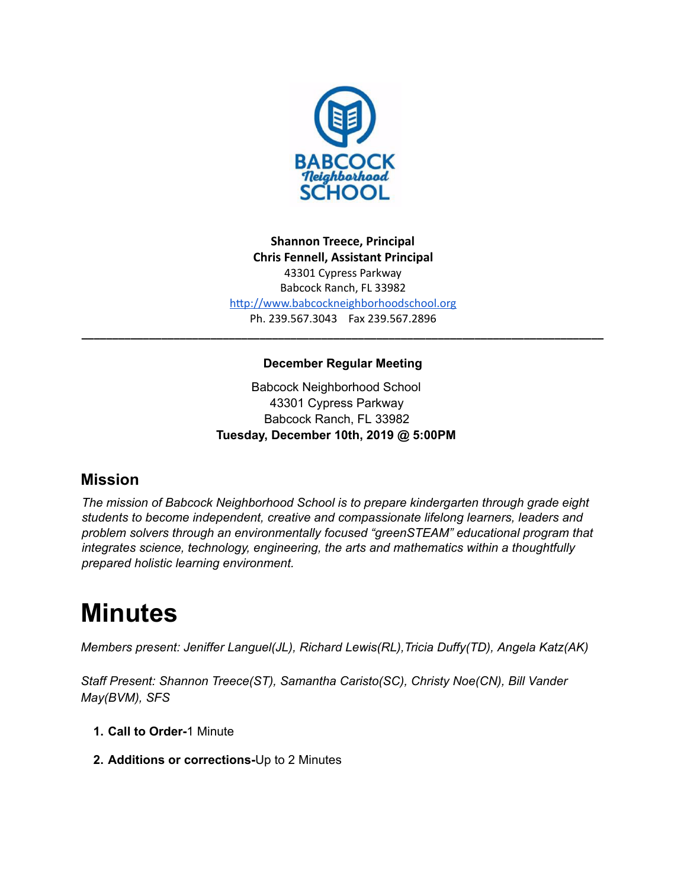

**Shannon Treece, Principal Chris Fennell, Assistant Principal**  43301 Cypress Parkway Babcock Ranch, FL 33982 http://www.babcockneighborhoodschool.org Ph. 239.567.3043 Fax 239.567.2896

## **December Regular Meeting**

**\_\_\_\_\_\_\_\_\_\_\_\_\_\_\_\_\_\_\_\_\_\_\_\_\_\_\_\_\_\_\_\_\_\_\_\_\_\_\_\_\_\_\_\_\_\_\_\_\_\_\_\_\_\_\_\_\_\_\_\_\_\_\_\_\_\_\_\_\_\_\_\_\_\_\_\_\_\_\_\_\_\_\_\_\_**

Babcock Neighborhood School 43301 Cypress Parkway Babcock Ranch, FL 33982 **Tuesday, December 10th, 2019 @ 5:00PM**

# **Mission**

*The mission of Babcock Neighborhood School is to prepare kindergarten through grade eight students to become independent, creative and compassionate lifelong learners, leaders and problem solvers through an environmentally focused "greenSTEAM" educational program that integrates science, technology, engineering, the arts and mathematics within a thoughtfully prepared holistic learning environment.*

# **Minutes**

*Members present: Jeniffer Languel(JL), Richard Lewis(RL),Tricia Duffy(TD), Angela Katz(AK)*

*Staff Present: Shannon Treece(ST), Samantha Caristo(SC), Christy Noe(CN), Bill Vander May(BVM), SFS*

- **1. Call to Order-**1 Minute
- **2. Additions or corrections-**Up to 2 Minutes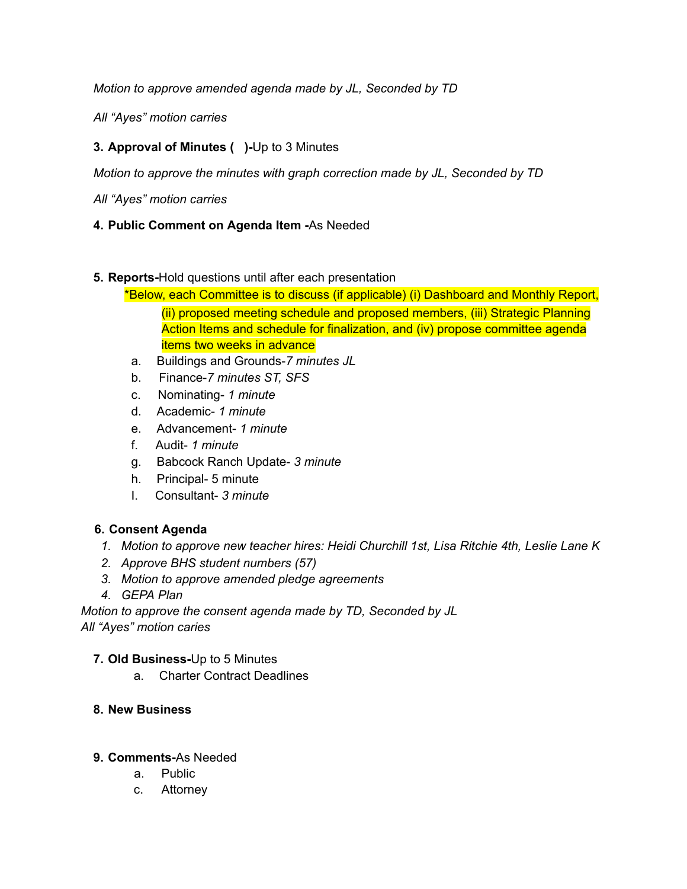*Motion to approve amended agenda made by JL, Seconded by TD*

*All "Ayes" motion carries*

# **3. Approval of Minutes ( )-**Up to 3 Minutes

*Motion to approve the minutes with graph correction made by JL, Seconded by TD*

*All "Ayes" motion carries*

#### **4. Public Comment on Agenda Item -**As Needed

#### **5. Reports-**Hold questions until after each presentation

- \*Below, each Committee is to discuss (if applicable) (i) Dashboard and Monthly Report, (ii) proposed meeting schedule and proposed members, (iii) Strategic Planning Action Items and schedule for finalization, and (iv) propose committee agenda items two weeks in advance
- a. Buildings and Grounds-*7 minutes JL*
- b. Finance-*7 minutes ST, SFS*
- c. Nominating- *1 minute*
- d. Academic- *1 minute*
- e. Advancement- *1 minute*
- f. Audit- *1 minute*
- g. Babcock Ranch Update- *3 minute*
- h. Principal- 5 minute
- I. Consultant- *3 minute*

#### **6. Consent Agenda**

- *1. Motion to approve new teacher hires: Heidi Churchill 1st, Lisa Ritchie 4th, Leslie Lane K*
- *2. Approve BHS student numbers (57)*
- *3. Motion to approve amended pledge agreements*
- *4. GEPA Plan*

*Motion to approve the consent agenda made by TD, Seconded by JL All "Ayes" motion caries*

#### **7. Old Business-**Up to 5 Minutes

a. Charter Contract Deadlines

#### **8. New Business**

#### **9. Comments-**As Needed

- a. Public
- c. Attorney